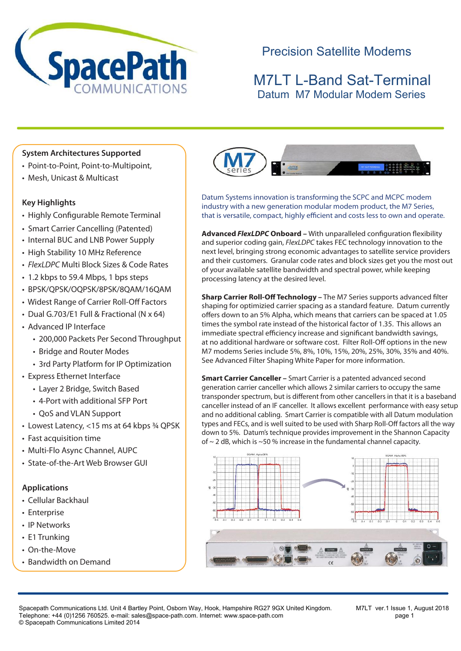

# Precision Satellite Modems

## M7LT L-Band Sat-Terminal Datum M7 Modular Modem Series

### **System Architectures Supported**

- Point-to-Point, Point-to-Multipoint,
- Mesh, Unicast & Multicast

#### **Key Highlights**

- Highly Configurable Remote Terminal
- Smart Carrier Cancelling (Patented)
- Internal BUC and LNB Power Supply
- High Stability 10 MHz Reference
- *FlexLDPC* Multi Block Sizes & Code Rates
- 1.2 kbps to 59.4 Mbps, 1 bps steps
- BPSK/QPSK/OQPSK/8PSK/8QAM/16QAM
- Widest Range of Carrier Roll-Off Factors
- Dual G.703/E1 Full & Fractional (N x 64)
- Advanced IP Interface
	- 200,000 Packets Per Second Throughput
	- Bridge and Router Modes
	- 3rd Party Platform for IP Optimization
- Express Ethernet Interface
	- Layer 2 Bridge, Switch Based
	- 4-Port with additional SFP Port
	- QoS and VLAN Support
- Lowest Latency, <15 ms at 64 kbps ¾ QPSK
- Fast acquisition time
- Multi-Flo Async Channel, AUPC
- State-of-the-Art Web Browser GUI

#### **Applications**

- Cellular Backhaul
- Enterprise
- IP Networks
- E1 Trunking
- On-the-Move
- Bandwidth on Demand



Datum Systems innovation is transforming the SCPC and MCPC modem industry with a new generation modular modem product, the M7 Series, that is versatile, compact, highly efficient and costs less to own and operate.

**Advanced** *FlexLDPC* **Onboard –** With unparalleled configuration flexibility and superior coding gain, *FlexLDPC* takes FEC technology innovation to the next level, bringing strong economic advantages to satellite service providers and their customers. Granular code rates and block sizes get you the most out of your available satellite bandwidth and spectral power, while keeping processing latency at the desired level.

**Sharp Carrier Roll-Off Technology –** The M7 Series supports advanced filter shaping for optimizied carrier spacing as a standard feature. Datum currently offers down to an 5% Alpha, which means that carriers can be spaced at 1.05 times the symbol rate instead of the historical factor of 1.35. This allows an immediate spectral efficiency increase and significant bandwidth savings, at no additional hardware or software cost. Filter Roll-Off options in the new M7 modems Series include 5%, 8%, 10%, 15%, 20%, 25%, 30%, 35% and 40%. See Advanced Filter Shaping White Paper for more information.

**Smart Carrier Canceller –** Smart Carrier is a patented advanced second generation carrier canceller which allows 2 similar carriers to occupy the same transponder spectrum, but is different from other cancellers in that it is a baseband canceller instead of an IF canceller. It allows excellent performance with easy setup and no additional cabling. Smart Carrier is compatible with all Datum modulation types and FECs, and is well suited to be used with Sharp Roll-Off factors all the way down to 5%. Datum's technique provides improvement in the Shannon Capacity of  $\sim$  2 dB, which is  $\sim$  50 % increase in the fundamental channel capacity.



Spacepath Communications Ltd. Unit 4 Bartley Point, Osborn Way, Hook, Hampshire RG27 9GX United Kingdom. M7LT ver.1 Issue 1, August 2018 Telephone: +44 (0)1256 760525. e-mail: sales@space-path.com. Internet: www.space-path.com page 1 © Spacepath Communications Limited 2014